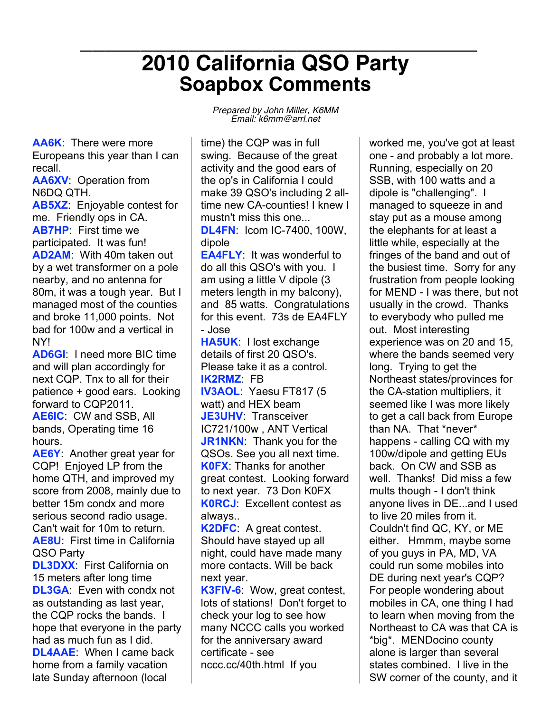## **\_\_\_\_\_\_\_\_\_\_\_\_\_\_\_\_\_\_\_\_\_\_\_\_\_\_\_\_\_\_\_\_\_ 2010 California QSO Party Soapbox Comments**

**AA6K**: There were more Europeans this year than I can recall.

**AA6XV**: Operation from N6DQ QTH.

**AB5XZ**: Enjoyable contest for me. Friendly ops in CA. **AB7HP**: First time we participated. It was fun! **AD2AM**: With 40m taken out by a wet transformer on a pole nearby, and no antenna for 80m, it was a tough year. But I managed most of the counties and broke 11,000 points. Not bad for 100w and a vertical in NY!

**AD6GI**: I need more BIC time and will plan accordingly for next CQP. Tnx to all for their patience + good ears. Looking forward to CQP2011.

**AE6IC**: CW and SSB, All bands, Operating time 16 hours.

**AE6Y**: Another great year for CQP! Enjoyed LP from the home QTH, and improved my score from 2008, mainly due to better 15m condx and more serious second radio usage. Can't wait for 10m to return. **AE8U**: First time in California QSO Party

**DL3DXX**: First California on 15 meters after long time **DL3GA**: Even with condx not as outstanding as last year, the CQP rocks the bands. I hope that everyone in the party had as much fun as I did. **DL4AAE**: When I came back home from a family vacation late Sunday afternoon (local

*Prepared by John Miller, K6MM Email: k6mm@arrl.net*

time) the CQP was in full swing. Because of the great activity and the good ears of the op's in California I could make 39 QSO's including 2 alltime new CA-counties! I knew I mustn't miss this one... **DL4FN**: Icom IC-7400, 100W, dipole

**EA4FLY**: It was wonderful to do all this QSO's with you. I am using a little V dipole (3 meters length in my balcony), and 85 watts. Congratulations for this event. 73s de EA4FLY - Jose

**HA5UK**: I lost exchange details of first 20 QSO's. Please take it as a control. **IK2RMZ**: FB

**IV3AOL**: Yaesu FT817 (5 watt) and HEX beam **JE3UHV**: Transceiver IC721/100w , ANT Vertical **JR1NKN**: Thank you for the QSOs. See you all next time. **K0FX**: Thanks for another great contest. Looking forward to next year. 73 Don K0FX **K0RCJ**: Excellent contest as always..

**K2DFC**: A great contest. Should have stayed up all night, could have made many more contacts. Will be back next year.

**K3FIV-6**: Wow, great contest, lots of stations! Don't forget to check your log to see how many NCCC calls you worked for the anniversary award certificate - see nccc.cc/40th.html If you

worked me, you've got at least one - and probably a lot more. Running, especially on 20 SSB, with 100 watts and a dipole is "challenging". I managed to squeeze in and stay put as a mouse among the elephants for at least a little while, especially at the fringes of the band and out of the busiest time. Sorry for any frustration from people looking for MEND - I was there, but not usually in the crowd. Thanks to everybody who pulled me out. Most interesting experience was on 20 and 15, where the bands seemed very long. Trying to get the Northeast states/provinces for the CA-station multipliers, it seemed like I was more likely to get a call back from Europe than NA. That \*never\* happens - calling CQ with my 100w/dipole and getting EUs back. On CW and SSB as well. Thanks! Did miss a few mults though - I don't think anyone lives in DE...and I used to live 20 miles from it. Couldn't find QC, KY, or ME either. Hmmm, maybe some of you guys in PA, MD, VA could run some mobiles into DE during next year's CQP? For people wondering about mobiles in CA, one thing I had to learn when moving from the Northeast to CA was that CA is \*big\*. MENDocino county alone is larger than several states combined. I live in the SW corner of the county, and it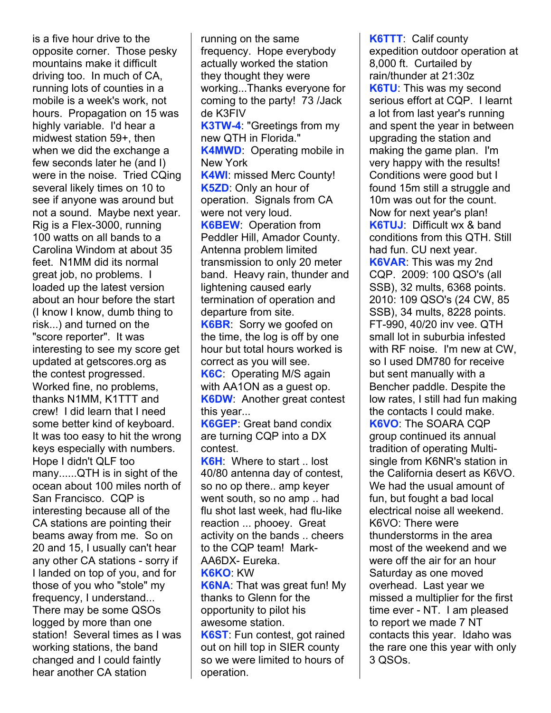is a five hour drive to the opposite corner. Those pesky mountains make it difficult driving too. In much of CA, running lots of counties in a mobile is a week's work, not hours. Propagation on 15 was highly variable. I'd hear a midwest station 59+, then when we did the exchange a few seconds later he (and I) were in the noise. Tried CQing several likely times on 10 to see if anyone was around but not a sound. Maybe next year. Rig is a Flex-3000, running 100 watts on all bands to a Carolina Windom at about 35 feet. N1MM did its normal great job, no problems. I loaded up the latest version about an hour before the start (I know I know, dumb thing to risk...) and turned on the "score reporter". It was interesting to see my score get updated at getscores.org as the contest progressed. Worked fine, no problems, thanks N1MM, K1TTT and crew! I did learn that I need some better kind of keyboard. It was too easy to hit the wrong keys especially with numbers. Hope I didn't QLF too many......QTH is in sight of the ocean about 100 miles north of San Francisco. CQP is interesting because all of the CA stations are pointing their beams away from me. So on 20 and 15, I usually can't hear any other CA stations - sorry if I landed on top of you, and for those of you who "stole" my frequency, I understand... There may be some QSOs logged by more than one station! Several times as I was working stations, the band changed and I could faintly hear another CA station

running on the same frequency. Hope everybody actually worked the station they thought they were working...Thanks everyone for coming to the party! 73 /Jack de K3FIV **K3TW-4**: "Greetings from my new QTH in Florida." **K4MWD**: Operating mobile in New York **K4WI**: missed Merc County! **K5ZD**: Only an hour of operation. Signals from CA were not very loud. **K6BEW**: Operation from Peddler Hill, Amador County. Antenna problem limited transmission to only 20 meter band. Heavy rain, thunder and lightening caused early termination of operation and departure from site. **K6BR**: Sorry we goofed on the time, the log is off by one hour but total hours worked is correct as you will see. **K6C**: Operating M/S again with AA1ON as a guest op. **K6DW**: Another great contest this year... **K6GEP**: Great band condix are turning CQP into a DX contest.

**K6H**: Where to start .. lost 40/80 antenna day of contest, so no op there.. amp keyer went south, so no amp .. had flu shot last week, had flu-like reaction ... phooey. Great activity on the bands .. cheers to the CQP team! Mark-AA6DX- Eureka. **K6KO**: KW

**K6NA**: That was great fun! My thanks to Glenn for the opportunity to pilot his awesome station. **K6ST**: Fun contest, got rained

out on hill top in SIER county so we were limited to hours of operation.

**K6TTT**: Calif county expedition outdoor operation at 8,000 ft. Curtailed by rain/thunder at 21:30z **K6TU**: This was my second serious effort at CQP. I learnt a lot from last year's running and spent the year in between upgrading the station and making the game plan. I'm very happy with the results! Conditions were good but I found 15m still a struggle and 10m was out for the count. Now for next year's plan! **K6TUJ**: Difficult wx & band conditions from this QTH. Still had fun. CU next year. **K6VAR**: This was my 2nd CQP. 2009: 100 QSO's (all SSB), 32 mults, 6368 points. 2010: 109 QSO's (24 CW, 85 SSB), 34 mults, 8228 points. FT-990, 40/20 inv vee. QTH small lot in suburbia infested with RF noise. I'm new at CW, so I used DM780 for receive but sent manually with a Bencher paddle. Despite the low rates, I still had fun making the contacts I could make. **K6VO**: The SOARA CQP group continued its annual tradition of operating Multisingle from K6NR's station in the California desert as K6VO. We had the usual amount of fun, but fought a bad local electrical noise all weekend. K6VO: There were thunderstorms in the area most of the weekend and we were off the air for an hour Saturday as one moved overhead. Last year we missed a multiplier for the first time ever - NT. I am pleased to report we made 7 NT contacts this year. Idaho was the rare one this year with only 3 QSOs.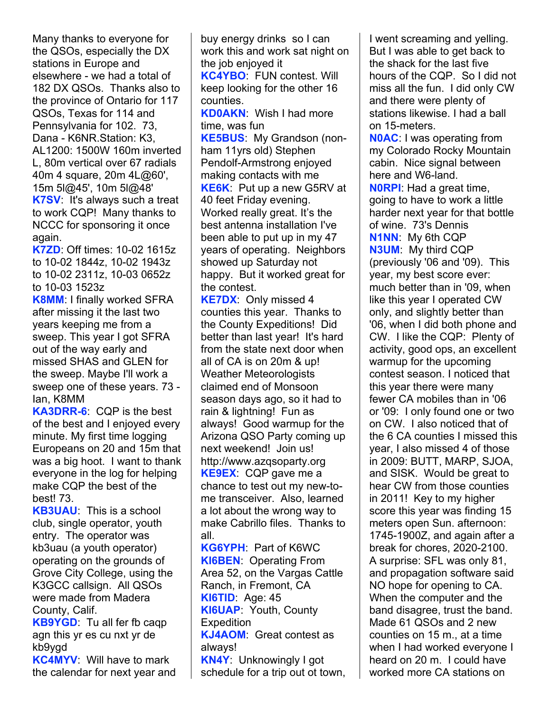Many thanks to everyone for the QSOs, especially the DX stations in Europe and elsewhere - we had a total of 182 DX QSOs. Thanks also to the province of Ontario for 117 QSOs, Texas for 114 and Pennsylvania for 102. 73, Dana - K6NR.Station: K3, AL1200: 1500W 160m inverted L, 80m vertical over 67 radials 40m 4 square, 20m 4L@60', 15m 5l@45', 10m 5l@48' **K7SV**: It's always such a treat to work CQP! Many thanks to NCCC for sponsoring it once again.

**K7ZD**: Off times: 10-02 1615z to 10-02 1844z, 10-02 1943z to 10-02 2311z, 10-03 0652z to 10-03 1523z

**K8MM**: I finally worked SFRA after missing it the last two years keeping me from a sweep. This year I got SFRA out of the way early and missed SHAS and GLEN for the sweep. Maybe I'll work a sweep one of these years. 73 - Ian, K8MM

**KA3DRR-6**: CQP is the best of the best and I enjoyed every minute. My first time logging Europeans on 20 and 15m that was a big hoot. I want to thank everyone in the log for helping make CQP the best of the best! 73.

**KB3UAU**: This is a school club, single operator, youth entry. The operator was kb3uau (a youth operator) operating on the grounds of Grove City College, using the K3GCC callsign. All QSOs were made from Madera County, Calif.

**KB9YGD**: Tu all fer fb caqp agn this yr es cu nxt yr de kb9ygd

**KC4MYV**: Will have to mark the calendar for next year and buy energy drinks so I can work this and work sat night on the job enjoyed it **KC4YBO**: FUN contest. Will keep looking for the other 16 counties. **KD0AKN**: Wish I had more time, was fun **KE5BUS**: My Grandson (nonham 11yrs old) Stephen Pendolf-Armstrong enjoyed making contacts with me **KE6K**: Put up a new G5RV at 40 feet Friday evening. Worked really great. It's the best antenna installation I've been able to put up in my 47 years of operating. Neighbors showed up Saturday not happy. But it worked great for the contest.

**KE7DX**: Only missed 4 counties this year. Thanks to the County Expeditions! Did better than last year! It's hard from the state next door when all of CA is on 20m & up! Weather Meteorologists claimed end of Monsoon season days ago, so it had to rain & lightning! Fun as always! Good warmup for the Arizona QSO Party coming up next weekend! Join us! http://www.azqsoparty.org **KE9EX**: CQP gave me a chance to test out my new-tome transceiver. Also, learned a lot about the wrong way to make Cabrillo files. Thanks to all.

**KG6YPH**: Part of K6WC **KI6BEN**: Operating From Area 52, on the Vargas Cattle Ranch, in Fremont, CA **KI6TID**: Age: 45 **KI6UAP**: Youth, County **Expedition KJ4AOM**: Great contest as always! **KN4Y**: Unknowingly I got

schedule for a trip out ot town,

I went screaming and yelling. But I was able to get back to the shack for the last five hours of the CQP. So I did not miss all the fun. I did only CW and there were plenty of stations likewise. I had a ball on 15-meters.

**N0AC**: I was operating from my Colorado Rocky Mountain cabin. Nice signal between here and W6-land.

**N0RPI**: Had a great time, going to have to work a little harder next year for that bottle of wine. 73's Dennis **N1NN**: My 6th CQP **N3UM**: My third CQP (previously '06 and '09). This year, my best score ever: much better than in '09, when like this year I operated CW only, and slightly better than '06, when I did both phone and CW. I like the CQP: Plenty of activity, good ops, an excellent warmup for the upcoming contest season. I noticed that this year there were many fewer CA mobiles than in '06 or '09: I only found one or two on CW. I also noticed that of the 6 CA counties I missed this year, I also missed 4 of those in 2009: BUTT, MARP, SJOA, and SISK. Would be great to hear CW from those counties in 2011! Key to my higher score this year was finding 15 meters open Sun. afternoon: 1745-1900Z, and again after a break for chores, 2020-2100. A surprise: SFL was only 81, and propagation software said NO hope for opening to CA. When the computer and the band disagree, trust the band. Made 61 QSOs and 2 new counties on 15 m., at a time when I had worked everyone I heard on 20 m. I could have worked more CA stations on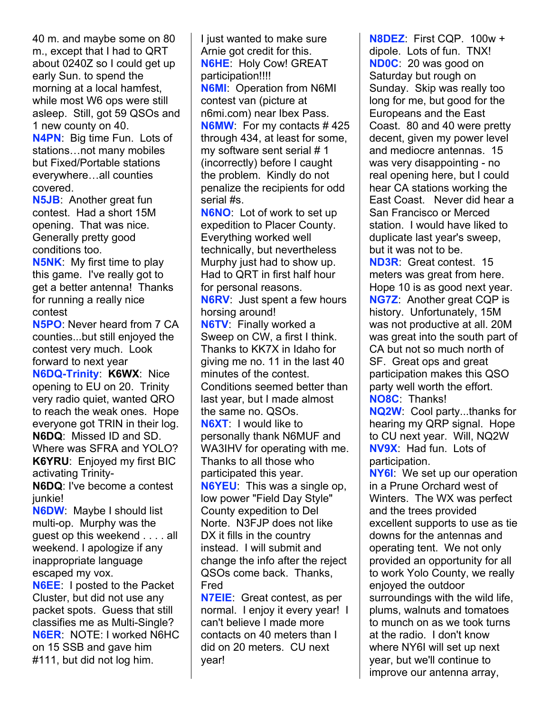40 m. and maybe some on 80 m., except that I had to QRT about 0240Z so I could get up early Sun. to spend the morning at a local hamfest, while most W6 ops were still asleep. Still, got 59 QSOs and 1 new county on 40. **N4PN**: Big time Fun. Lots of

stations…not many mobiles but Fixed/Portable stations everywhere…all counties covered.

**N5JB**: Another great fun contest. Had a short 15M opening. That was nice. Generally pretty good conditions too.

**N5NK**: My first time to play this game. I've really got to get a better antenna! Thanks for running a really nice contest

**N5PO**: Never heard from 7 CA counties...but still enjoyed the contest very much. Look forward to next year

**N6DQ-Trinity**: **K6WX**: Nice opening to EU on 20. Trinity very radio quiet, wanted QRO to reach the weak ones. Hope everyone got TRIN in their log. **N6DQ**: Missed ID and SD. Where was SFRA and YOLO? **K6YRU**: Enjoyed my first BIC activating Trinity-

**N6DQ**: I've become a contest junkie!

**N6DW**: Maybe I should list multi-op. Murphy was the guest op this weekend . . . . all weekend. I apologize if any inappropriate language escaped my vox.

**N6EE**: I posted to the Packet Cluster, but did not use any packet spots. Guess that still classifies me as Multi-Single? **N6ER**: NOTE: I worked N6HC on 15 SSB and gave him #111, but did not log him.

I just wanted to make sure Arnie got credit for this. **N6HE**: Holy Cow! GREAT participation!!!! **N6MI**: Operation from N6MI contest van (picture at n6mi.com) near Ibex Pass. **N6MW**: For my contacts # 425 through 434, at least for some, my software sent serial # 1 (incorrectly) before I caught the problem. Kindly do not penalize the recipients for odd serial #s.

**N6NO**: Lot of work to set up expedition to Placer County. Everything worked well technically, but nevertheless Murphy just had to show up. Had to QRT in first half hour for personal reasons. **N6RV**: Just spent a few hours horsing around! **N6TV**: Finally worked a Sweep on CW, a first I think. Thanks to KK7X in Idaho for giving me no. 11 in the last 40 minutes of the contest. Conditions seemed better than last year, but I made almost the same no. QSOs. **N6XT**: I would like to personally thank N6MUF and WA3IHV for operating with me. Thanks to all those who participated this year. **N6YEU**: This was a single op, low power "Field Day Style" County expedition to Del Norte. N3FJP does not like DX it fills in the country instead. I will submit and change the info after the reject QSOs come back. Thanks, Fred

**N7EIE**: Great contest, as per normal. I enjoy it every year! I can't believe I made more contacts on 40 meters than I did on 20 meters. CU next year!

**N8DEZ**: First CQP. 100w + dipole. Lots of fun. TNX! **ND0C**: 20 was good on Saturday but rough on Sunday. Skip was really too long for me, but good for the Europeans and the East Coast. 80 and 40 were pretty decent, given my power level and mediocre antennas. 15 was very disappointing - no real opening here, but I could hear CA stations working the East Coast. Never did hear a San Francisco or Merced station. I would have liked to duplicate last year's sweep, but it was not to be. **ND3R**: Great contest. 15

meters was great from here. Hope 10 is as good next year. **NG7Z**: Another great CQP is history. Unfortunately, 15M was not productive at all. 20M was great into the south part of CA but not so much north of SF. Great ops and great participation makes this QSO party well worth the effort. **NO8C**: Thanks!

**NQ2W**: Cool party...thanks for hearing my QRP signal. Hope to CU next year. Will, NQ2W **NV9X**: Had fun. Lots of participation.

**NY6I**: We set up our operation in a Prune Orchard west of Winters. The WX was perfect and the trees provided excellent supports to use as tie downs for the antennas and operating tent. We not only provided an opportunity for all to work Yolo County, we really enjoyed the outdoor surroundings with the wild life, plums, walnuts and tomatoes to munch on as we took turns at the radio. I don't know where NY6I will set up next year, but we'll continue to improve our antenna array,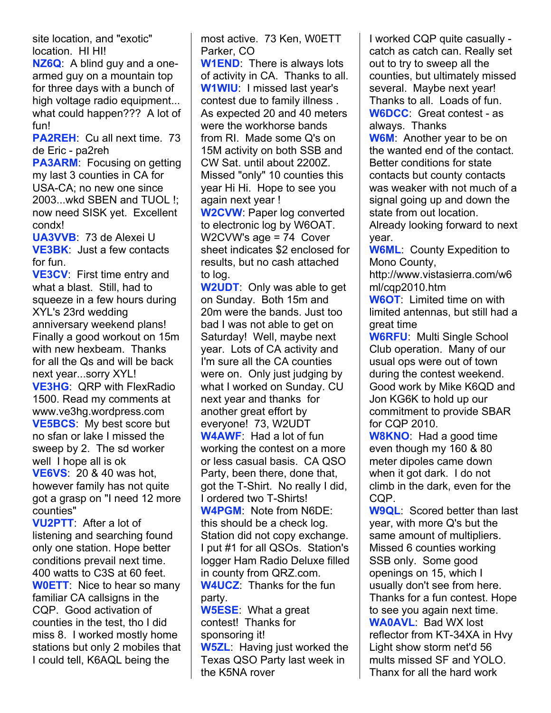site location, and "exotic" location. HI HI!

**NZ6Q**: A blind guy and a onearmed guy on a mountain top for three days with a bunch of high voltage radio equipment... what could happen??? A lot of fun!

**PA2REH**: Cu all next time. 73 de Eric - pa2reh

**PA3ARM**: Focusing on getting my last 3 counties in CA for USA-CA; no new one since 2003...wkd SBEN and TUOL !; now need SISK yet. Excellent condx!

**UA3VVB**: 73 de Alexei U **VE3BK**: Just a few contacts for fun.

**VE3CV**: First time entry and what a blast. Still, had to squeeze in a few hours during XYL's 23rd wedding anniversary weekend plans! Finally a good workout on 15m with new hexbeam. Thanks for all the Qs and will be back next year...sorry XYL! **VE3HG**: QRP with FlexRadio 1500. Read my comments at www.ve3hg.wordpress.com **VE5BCS**: My best score but no sfan or lake I missed the sweep by 2. The sd worker well I hope all is ok **VE6VS**: 20 & 40 was hot, however family has not quite got a grasp on "I need 12 more counties"

**VU2PTT**: After a lot of listening and searching found only one station. Hope better conditions prevail next time. 400 watts to C3S at 60 feet. **W0ETT**: Nice to hear so many familiar CA callsigns in the CQP. Good activation of counties in the test, tho I did miss 8. I worked mostly home stations but only 2 mobiles that I could tell, K6AQL being the

most active. 73 Ken, W0ETT Parker, CO

**W1END**: There is always lots of activity in CA. Thanks to all. **W1WIU**: I missed last year's contest due to family illness . As expected 20 and 40 meters were the workhorse bands from RI. Made some Q's on 15M activity on both SSB and CW Sat. until about 2200Z. Missed "only" 10 counties this year Hi Hi. Hope to see you again next year !

**W2CVW**: Paper log converted to electronic log by W6OAT. W2CVW's age = 74 Cover sheet indicates \$2 enclosed for results, but no cash attached to log.

**W2UDT**: Only was able to get on Sunday. Both 15m and 20m were the bands. Just too bad I was not able to get on Saturday! Well, maybe next year. Lots of CA activity and I'm sure all the CA counties were on. Only just judging by what I worked on Sunday. CU next year and thanks for another great effort by everyone! 73, W2UDT **W4AWF**: Had a lot of fun working the contest on a more or less casual basis. CA QSO Party, been there, done that, got the T-Shirt. No really I did, I ordered two T-Shirts! **W4PGM**: Note from N6DE: this should be a check log. Station did not copy exchange. I put #1 for all QSOs. Station's logger Ham Radio Deluxe filled in county from QRZ.com. **W4UCZ**: Thanks for the fun party.

**W5ESE**: What a great contest! Thanks for sponsoring it! **W5ZL**: Having just worked the

Texas QSO Party last week in the K5NA rover

I worked CQP quite casually catch as catch can. Really set out to try to sweep all the counties, but ultimately missed several. Maybe next year! Thanks to all. Loads of fun. **W6DCC**: Great contest - as always. Thanks

**W6M**: Another year to be on the wanted end of the contact. Better conditions for state contacts but county contacts was weaker with not much of a signal going up and down the state from out location. Already looking forward to next

year.

**W6ML**: County Expedition to Mono County,

http://www.vistasierra.com/w6 ml/cqp2010.htm

**W6OT**: Limited time on with limited antennas, but still had a great time

**W6RFU**: Multi Single School Club operation. Many of our usual ops were out of town during the contest weekend. Good work by Mike K6QD and Jon KG6K to hold up our commitment to provide SBAR for CQP 2010.

**W8KNO**: Had a good time even though my 160 & 80 meter dipoles came down when it got dark. I do not climb in the dark, even for the CQP.

**W9QL**: Scored better than last year, with more Q's but the same amount of multipliers. Missed 6 counties working SSB only. Some good openings on 15, which I usually don't see from here. Thanks for a fun contest. Hope to see you again next time. **WA0AVL**: Bad WX lost reflector from KT-34XA in Hvy Light show storm net'd 56 mults missed SF and YOLO. Thanx for all the hard work